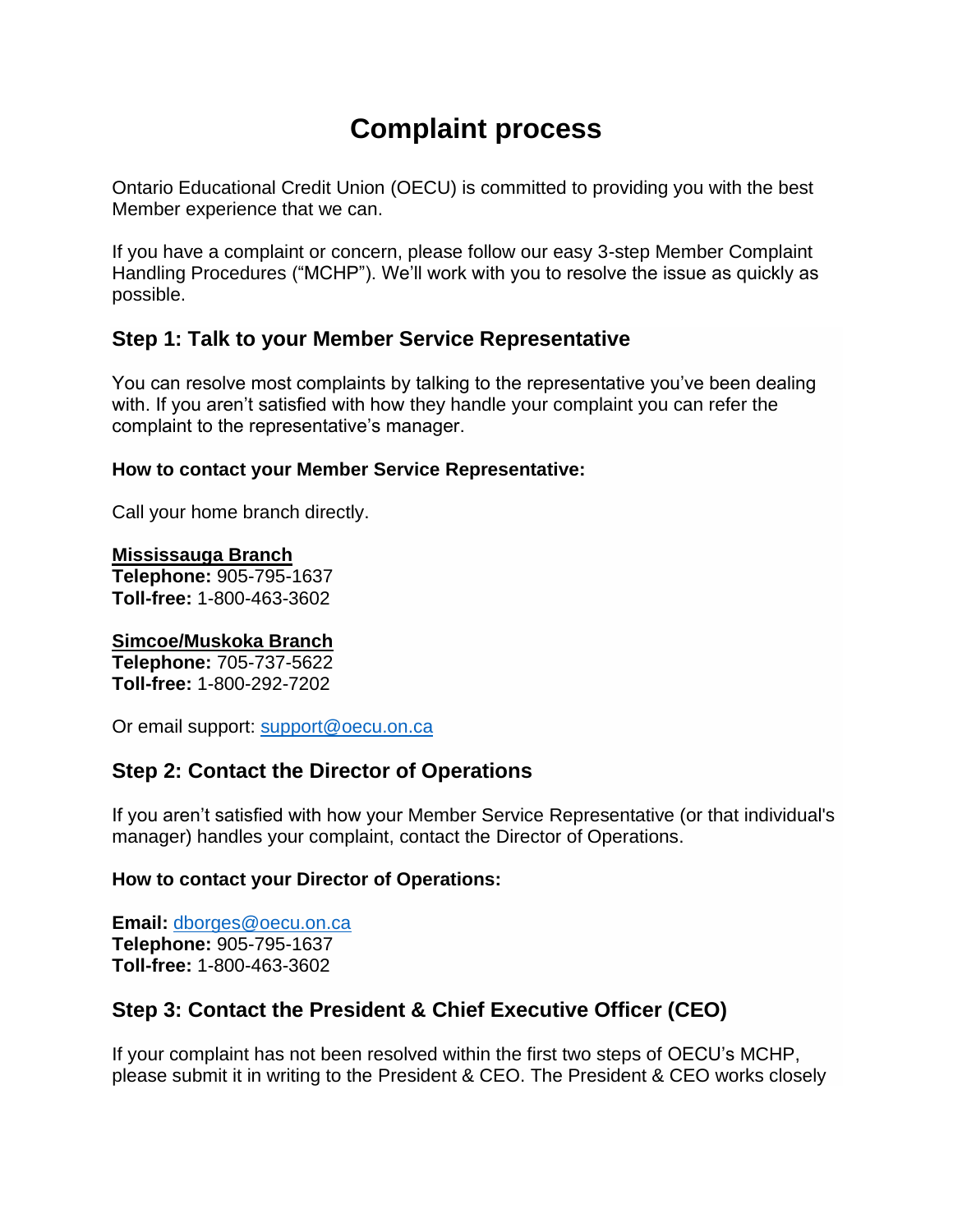# **Complaint process**

Ontario Educational Credit Union (OECU) is committed to providing you with the best Member experience that we can.

If you have a complaint or concern, please follow our easy 3-step Member Complaint Handling Procedures ("MCHP"). We'll work with you to resolve the issue as quickly as possible.

# **Step 1: Talk to your Member Service Representative**

You can resolve most complaints by talking to the representative you've been dealing with. If you aren't satisfied with how they handle your complaint you can refer the complaint to the representative's manager.

#### **How to contact your Member Service Representative:**

Call your home branch directly.

**Mississauga Branch Telephone:** 905-795-1637 **Toll-free:** 1-800-463-3602

## **Simcoe/Muskoka Branch**

**Telephone:** 705-737-5622 **Toll-free:** 1-800-292-7202

Or email support: [support@oecu.on.ca](mailto:support@oecu.on.ca)

# **Step 2: Contact the Director of Operations**

If you aren't satisfied with how your Member Service Representative (or that individual's manager) handles your complaint, contact the Director of Operations.

## **How to contact your Director of Operations:**

**Email:** [dborges@oecu.on.ca](mailto:dborges@oecu.on.ca) **Telephone:** 905-795-1637 **Toll-free:** 1-800-463-3602

# **Step 3: Contact the President & Chief Executive Officer (CEO)**

If your complaint has not been resolved within the first two steps of OECU's MCHP, please submit it in writing to the President & CEO. The President & CEO works closely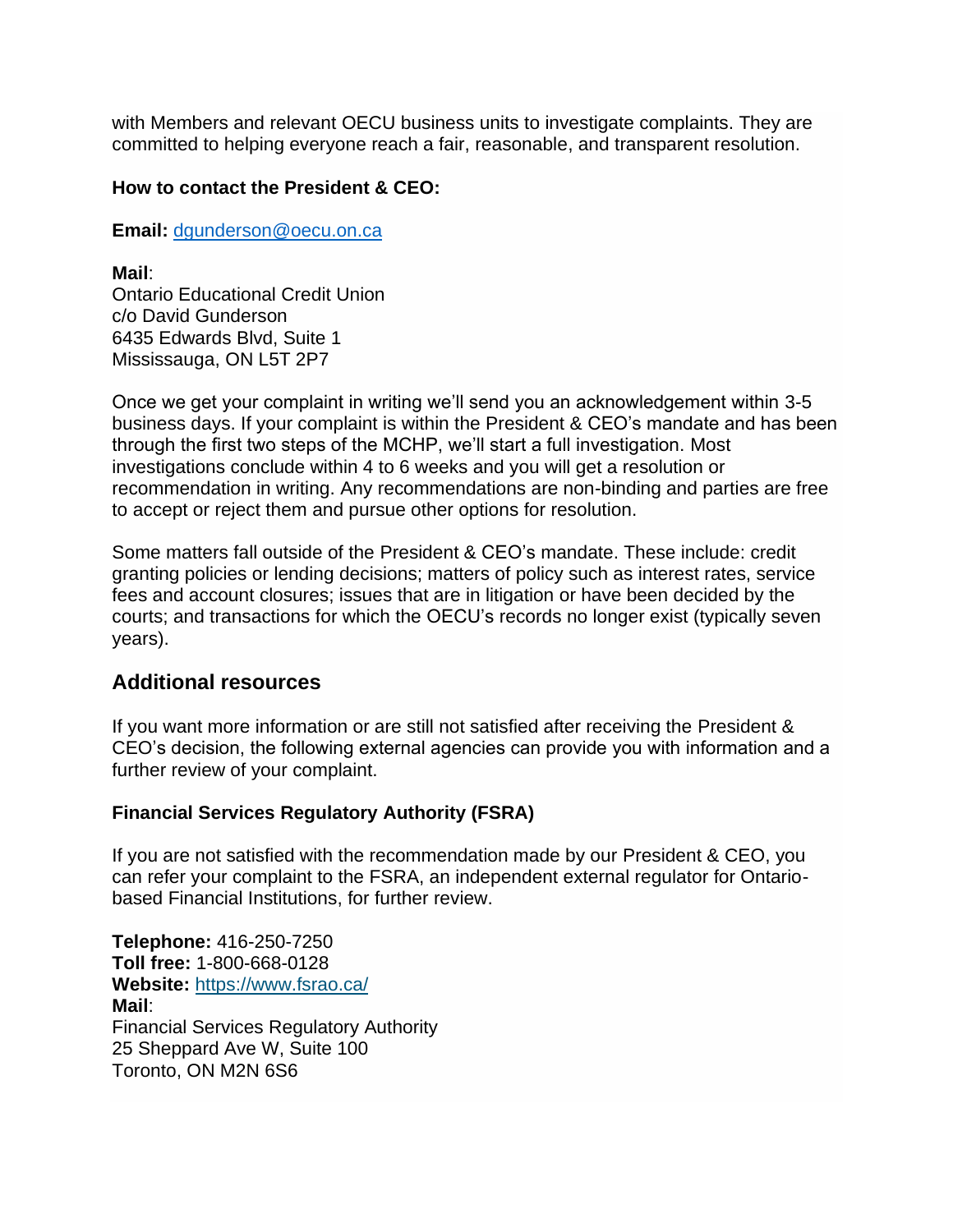with Members and relevant OECU business units to investigate complaints. They are committed to helping everyone reach a fair, reasonable, and transparent resolution.

#### **How to contact the President & CEO:**

**Email:** [dgunderson@oecu.on.ca](mailto:dgunderson@oecu.on.ca)

**Mail**:

Ontario Educational Credit Union c/o David Gunderson 6435 Edwards Blvd, Suite 1 Mississauga, ON L5T 2P7

Once we get your complaint in writing we'll send you an acknowledgement within 3-5 business days. If your complaint is within the President & CEO's mandate and has been through the first two steps of the MCHP, we'll start a full investigation. Most investigations conclude within 4 to 6 weeks and you will get a resolution or recommendation in writing. Any recommendations are non-binding and parties are free to accept or reject them and pursue other options for resolution.

Some matters fall outside of the President & CEO's mandate. These include: credit granting policies or lending decisions; matters of policy such as interest rates, service fees and account closures; issues that are in litigation or have been decided by the courts; and transactions for which the OECU's records no longer exist (typically seven years).

## **Additional resources**

If you want more information or are still not satisfied after receiving the President & CEO's decision, the following external agencies can provide you with information and a further review of your complaint.

## **Financial Services Regulatory Authority (FSRA)**

If you are not satisfied with the recommendation made by our President & CEO, you can refer your complaint to the FSRA, an independent external regulator for Ontariobased Financial Institutions, for further review.

**Telephone:** 416-250-7250 **Toll free:** 1-800-668-0128 **Website:** <https://www.fsrao.ca/> **Mail**: Financial Services Regulatory Authority 25 Sheppard Ave W, Suite 100 Toronto, ON M2N 6S6